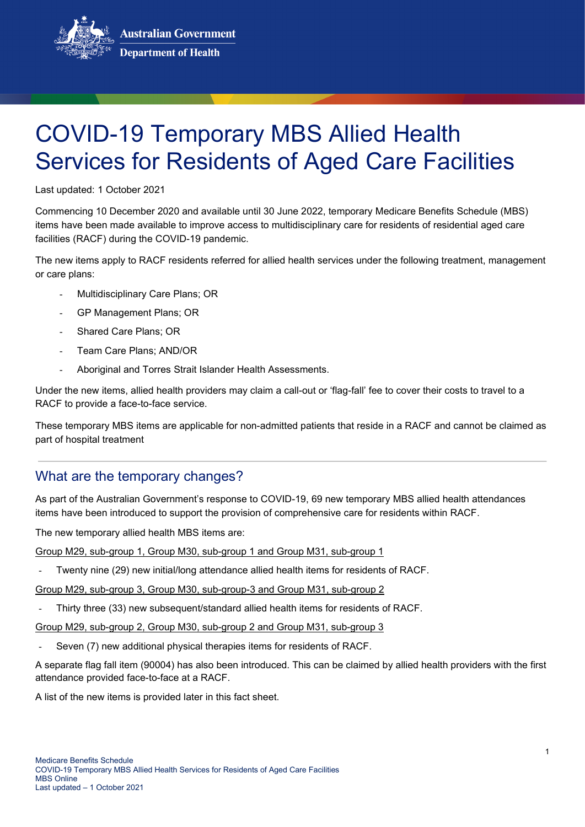**Australian Government Department of Health** 



Last updated: 1 October 2021

Commencing 10 December 2020 and available until 30 June 2022, temporary Medicare Benefits Schedule (MBS) items have been made available to improve access to multidisciplinary care for residents of residential aged care facilities (RACF) during the COVID-19 pandemic.

The new items apply to RACF residents referred for allied health services under the following treatment, management or care plans:

- Multidisciplinary Care Plans; OR
- GP Management Plans: OR
- Shared Care Plans: OR
- Team Care Plans: AND/OR
- Aboriginal and Torres Strait Islander Health Assessments.

Under the new items, allied health providers may claim a call-out or 'flag-fall' fee to cover their costs to travel to a RACF to provide a face-to-face service.

These temporary MBS items are applicable for non-admitted patients that reside in a RACF and cannot be claimed as part of hospital treatment

#### What are the temporary changes?

As part of the Australian Government's response to COVID-19, 69 new temporary MBS allied health attendances items have been introduced to support the provision of comprehensive care for residents within RACF.

The new temporary allied health MBS items are:

Group M29, sub-group 1, Group M30, sub-group 1 and Group M31, sub-group 1

Twenty nine (29) new initial/long attendance allied health items for residents of RACF.

Group M29, sub-group 3, Group M30, sub-group-3 and Group M31, sub-group 2

Thirty three (33) new subsequent/standard allied health items for residents of RACF.

Group M29, sub-group 2, Group M30, sub-group 2 and Group M31, sub-group 3

Seven (7) new additional physical therapies items for residents of RACF.

A separate flag fall item (90004) has also been introduced. This can be claimed by allied health providers with the first attendance provided face-to-face at a RACF.

A list of the new items is provided later in this fact sheet.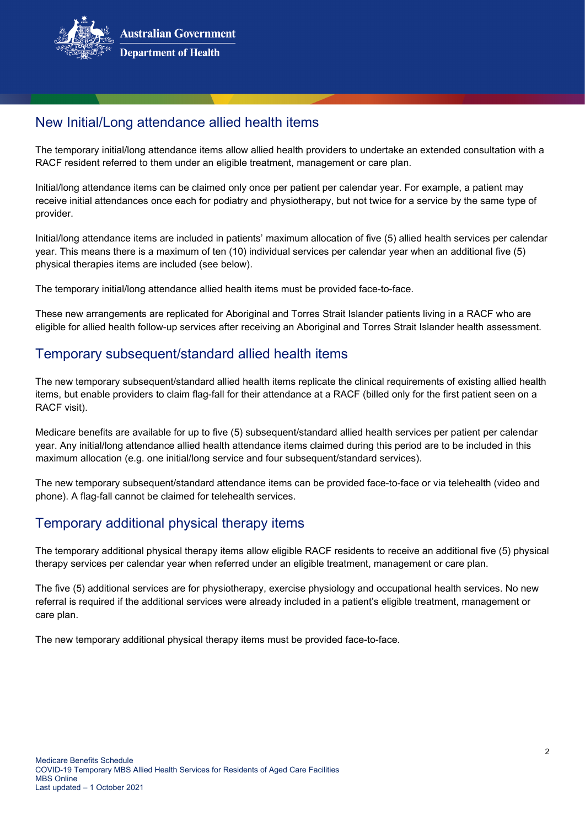

## New Initial/Long attendance allied health items

The temporary initial/long attendance items allow allied health providers to undertake an extended consultation with a RACF resident referred to them under an eligible treatment, management or care plan.

Initial/long attendance items can be claimed only once per patient per calendar year. For example, a patient may receive initial attendances once each for podiatry and physiotherapy, but not twice for a service by the same type of provider.

Initial/long attendance items are included in patients' maximum allocation of five (5) allied health services per calendar year. This means there is a maximum of ten (10) individual services per calendar year when an additional five (5) physical therapies items are included (see below).

The temporary initial/long attendance allied health items must be provided face-to-face.

These new arrangements are replicated for Aboriginal and Torres Strait Islander patients living in a RACF who are eligible for allied health follow-up services after receiving an Aboriginal and Torres Strait Islander health assessment.

## Temporary subsequent/standard allied health items

The new temporary subsequent/standard allied health items replicate the clinical requirements of existing allied health items, but enable providers to claim flag-fall for their attendance at a RACF (billed only for the first patient seen on a RACF visit).

Medicare benefits are available for up to five (5) subsequent/standard allied health services per patient per calendar year. Any initial/long attendance allied health attendance items claimed during this period are to be included in this maximum allocation (e.g. one initial/long service and four subsequent/standard services).

The new temporary subsequent/standard attendance items can be provided face-to-face or via telehealth (video and phone). A flag-fall cannot be claimed for telehealth services.

## Temporary additional physical therapy items

The temporary additional physical therapy items allow eligible RACF residents to receive an additional five (5) physical therapy services per calendar year when referred under an eligible treatment, management or care plan.

The five (5) additional services are for physiotherapy, exercise physiology and occupational health services. No new referral is required if the additional services were already included in a patient's eligible treatment, management or care plan.

The new temporary additional physical therapy items must be provided face-to-face.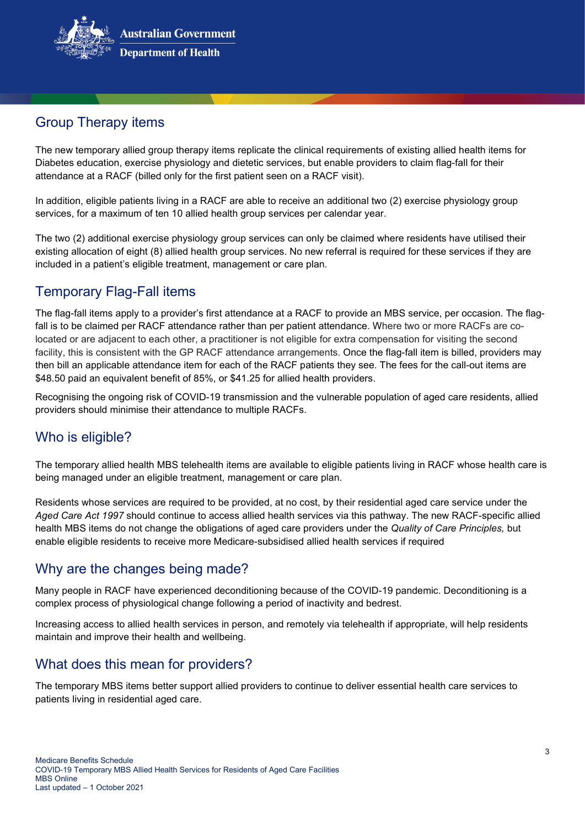

# Group Therapy items

The new temporary allied group therapy items replicate the clinical requirements of existing allied health items for Diabetes education, exercise physiology and dietetic services, but enable providers to claim flag-fall for their attendance at a RACF (billed only for the first patient seen on a RACF visit).

In addition, eligible patients living in a RACF are able to receive an additional two (2) exercise physiology group services, for a maximum of ten 10 allied health group services per calendar year.

The two (2) additional exercise physiology group services can only be claimed where residents have utilised their existing allocation of eight (8) allied health group services. No new referral is required for these services if they are included in a patient's eligible treatment, management or care plan.

## Temporary Flag-Fall items

The flag-fall items apply to a provider's first attendance at a RACF to provide an MBS service, per occasion. The flagfall is to be claimed per RACF attendance rather than per patient attendance. Where two or more RACFs are colocated or are adjacent to each other, a practitioner is not eligible for extra compensation for visiting the second facility, this is consistent with the GP RACF attendance arrangements. Once the flag-fall item is billed, providers may then bill an applicable attendance item for each of the RACF patients they see. The fees for the call-out items are \$48.50 paid an equivalent benefit of 85%, or \$41.25 for allied health providers.

Recognising the ongoing risk of COVID-19 transmission and the vulnerable population of aged care residents, allied providers should minimise their attendance to multiple RACFs.

## Who is eligible?

The temporary allied health MBS telehealth items are available to eligible patients living in RACF whose health care is being managed under an eligible treatment, management or care plan.

Residents whose services are required to be provided, at no cost, by their residential aged care service under the *Aged Care Act 1997* should continue to access allied health services via this pathway. The new RACF-specific allied health MBS items do not change the obligations of aged care providers under the *Quality of Care Principles,* but enable eligible residents to receive more Medicare-subsidised allied health services if required

## Why are the changes being made?

Many people in RACF have experienced deconditioning because of the COVID-19 pandemic. Deconditioning is a complex process of physiological change following a period of inactivity and bedrest.

Increasing access to allied health services in person, and remotely via telehealth if appropriate, will help residents maintain and improve their health and wellbeing.

## What does this mean for providers?

The temporary MBS items better support allied providers to continue to deliver essential health care services to patients living in residential aged care.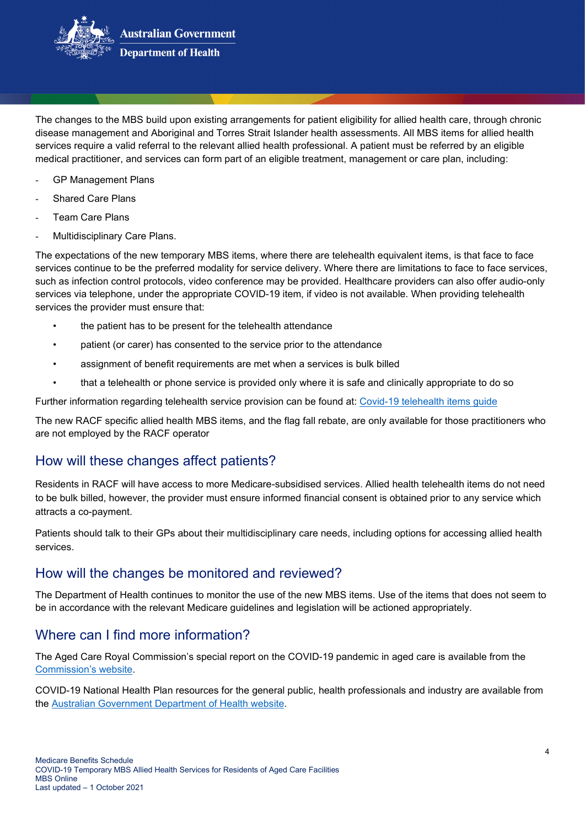

The changes to the MBS build upon existing arrangements for patient eligibility for allied health care, through chronic disease management and Aboriginal and Torres Strait Islander health assessments. All MBS items for allied health services require a valid referral to the relevant allied health professional. A patient must be referred by an eligible medical practitioner, and services can form part of an eligible treatment, management or care plan, including:

- GP Management Plans
- Shared Care Plans
- Team Care Plans
- Multidisciplinary Care Plans.

The expectations of the new temporary MBS items, where there are telehealth equivalent items, is that face to face services continue to be the preferred modality for service delivery. Where there are limitations to face to face services, such as infection control protocols, video conference may be provided. Healthcare providers can also offer audio-only services via telephone, under the appropriate COVID-19 item, if video is not available. When providing telehealth services the provider must ensure that:

- the patient has to be present for the telehealth attendance
- patient (or carer) has consented to the service prior to the attendance
- assignment of benefit requirements are met when a services is bulk billed
- that a telehealth or phone service is provided only where it is safe and clinically appropriate to do so

Further information regarding telehealth service provision can be found at: [Covid-19 telehealth items guide](https://www.health.gov.au/sites/default/files/documents/2020/12/coronavirus-covid-19-telehealth-items-guide.pdf)

The new RACF specific allied health MBS items, and the flag fall rebate, are only available for those practitioners who are not employed by the RACF operator

## How will these changes affect patients?

Residents in RACF will have access to more Medicare-subsidised services. Allied health telehealth items do not need to be bulk billed, however, the provider must ensure informed financial consent is obtained prior to any service which attracts a co-payment.

Patients should talk to their GPs about their multidisciplinary care needs, including options for accessing allied health services.

## How will the changes be monitored and reviewed?

The Department of Health continues to monitor the use of the new MBS items. Use of the items that does not seem to be in accordance with the relevant Medicare guidelines and legislation will be actioned appropriately.

## Where can I find more information?

The Aged Care Royal Commission's special report on the COVID-19 pandemic in aged care is available from the [Commission's website.](https://agedcare.royalcommission.gov.au/publications/aged-care-and-covid-19-special-report)

COVID-19 National Health Plan resources for the general public, health professionals and industry are available from the [Australian Government Department of Health website.](https://www.health.gov.au/resources/collections/coronavirus-covid-19-national-health-plan-resources)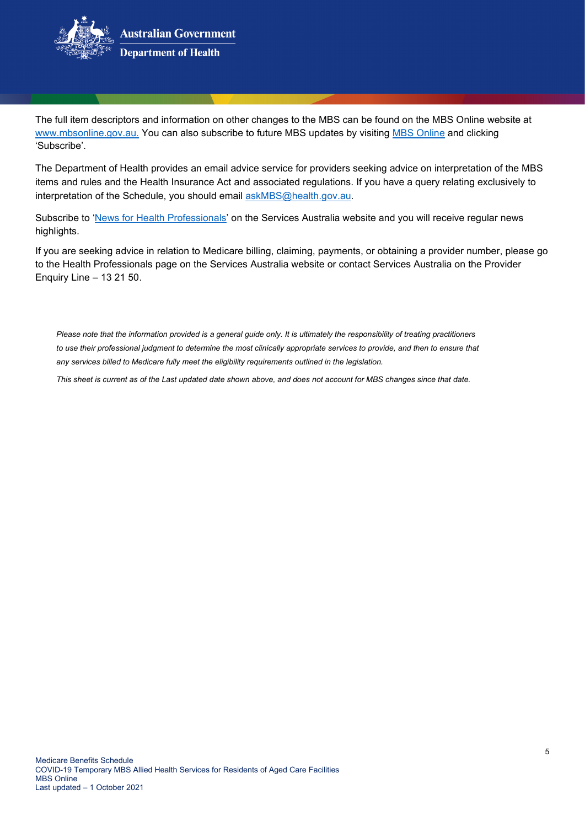

The full item descriptors and information on other changes to the MBS can be found on the MBS Online website at www.mbsonline.gov.au. You can also subscribe to future MBS updates by visiting [MBS Online](http://www.mbsonline.gov.au/) and clicking 'Subscribe'.

The Department of Health provides an email advice service for providers seeking advice on interpretation of the MBS items and rules and the Health Insurance Act and associated regulations. If you have a query relating exclusively to interpretation of the Schedule, you should email [askMBS@health.gov.au.](mailto:askMBS@health.gov.au)

Subscribe to ['News for Health Professionals'](https://www.servicesaustralia.gov.au/organisations/health-professionals/news/all) on the Services Australia website and you will receive regular news highlights.

If you are seeking advice in relation to Medicare billing, claiming, payments, or obtaining a provider number, please go to the Health Professionals page on the Services Australia website or contact Services Australia on the Provider Enquiry Line – 13 21 50.

*Please note that the information provided is a general guide only. It is ultimately the responsibility of treating practitioners to use their professional judgment to determine the most clinically appropriate services to provide, and then to ensure that any services billed to Medicare fully meet the eligibility requirements outlined in the legislation.* 

*This sheet is current as of the Last updated date shown above, and does not account for MBS changes since that date.*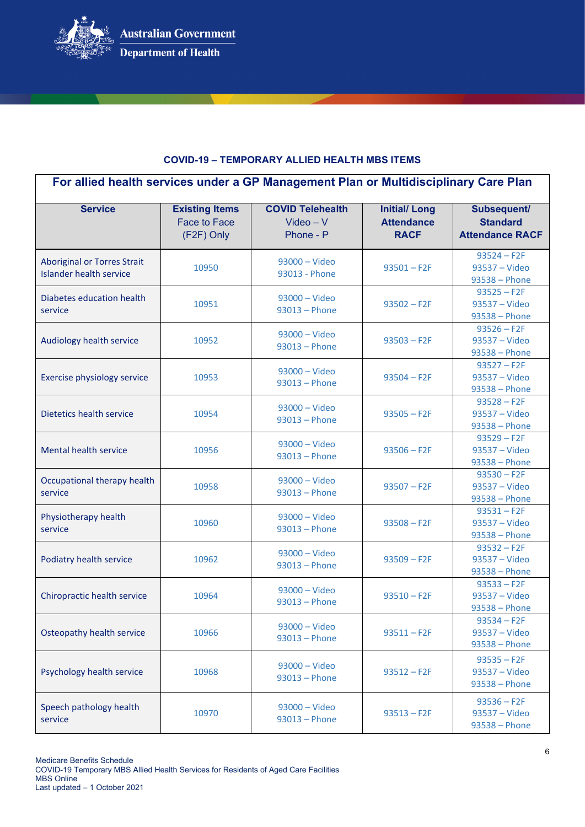

#### **COVID-19 – TEMPORARY ALLIED HEALTH MBS ITEMS**

| For allied health services under a GP Management Plan or Multidisciplinary Care Plan |                                                     |                                                     |                                                         |                                                          |
|--------------------------------------------------------------------------------------|-----------------------------------------------------|-----------------------------------------------------|---------------------------------------------------------|----------------------------------------------------------|
| <b>Service</b>                                                                       | <b>Existing Items</b><br>Face to Face<br>(F2F) Only | <b>COVID Telehealth</b><br>$Video - V$<br>Phone - P | <b>Initial/Long</b><br><b>Attendance</b><br><b>RACF</b> | Subsequent/<br><b>Standard</b><br><b>Attendance RACF</b> |
| <b>Aboriginal or Torres Strait</b><br><b>Islander health service</b>                 | 10950                                               | $93000 - Video$<br>93013 - Phone                    | $93501 - F2F$                                           | $93524 - F2F$<br>93537 - Video<br>93538 - Phone          |
| Diabetes education health<br>service                                                 | 10951                                               | $93000 - Video$<br>$93013 - Phone$                  | $93502 - F2F$                                           | $93525 - F2F$<br>93537 - Video<br>93538 - Phone          |
| Audiology health service                                                             | 10952                                               | 93000 - Video<br>$93013 - Phone$                    | $93503 - F2F$                                           | $93526 - F2F$<br>93537 - Video<br>93538 - Phone          |
| Exercise physiology service                                                          | 10953                                               | 93000 - Video<br>93013 - Phone                      | $93504 - F2F$                                           | $93527 - F2F$<br>93537 - Video<br>93538 - Phone          |
| Dietetics health service                                                             | 10954                                               | $93000 - Video$<br>$93013 - Phone$                  | $93505 - F2F$                                           | $93528 - F2F$<br>93537 - Video<br>93538 - Phone          |
| <b>Mental health service</b>                                                         | 10956                                               | $93000 - Video$<br>$93013 - Phone$                  | $93506 - F2F$                                           | $93529 - F2F$<br>93537 - Video<br>93538 - Phone          |
| Occupational therapy health<br>service                                               | 10958                                               | $93000 - Video$<br>$93013 - Phone$                  | $93507 - F2F$                                           | $93530 - F2F$<br>93537 - Video<br>93538 - Phone          |
| Physiotherapy health<br>service                                                      | 10960                                               | $93000 - Video$<br>$93013 - Phone$                  | $93508 - F2F$                                           | $93531 - F2F$<br>93537 - Video<br>93538 - Phone          |
| Podiatry health service                                                              | 10962                                               | $93000 - Video$<br>$93013 - Phone$                  | $93509 - F2F$                                           | $93532 - F2F$<br>93537 - Video<br>$93538 - Phone$        |
| Chiropractic health service                                                          | 10964                                               | 93000 - Video<br>$93013 - Phone$                    | $93510 - F2F$                                           | $93533 - F2F$<br>93537 - Video<br>93538 - Phone          |
| Osteopathy health service                                                            | 10966                                               | 93000 - Video<br>93013 - Phone                      | $93511 - F2F$                                           | $93534 - F2F$<br>93537 - Video<br>93538 - Phone          |
| Psychology health service                                                            | 10968                                               | 93000 - Video<br>93013 - Phone                      | $93512 - F2F$                                           | $93535 - F2F$<br>93537 - Video<br>$93538 - Phone$        |
| Speech pathology health<br>service                                                   | 10970                                               | $93000 - Video$<br>93013 - Phone                    | $93513 - F2F$                                           | $93536 - F2F$<br>93537 - Video<br>$93538 - Phone$        |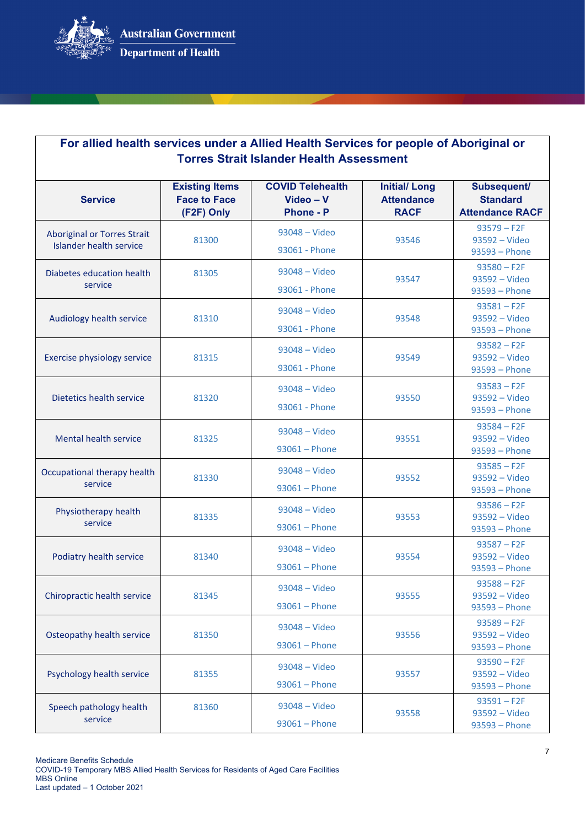

| For allied health services under a Allied Health Services for people of Aboriginal or<br><b>Torres Strait Islander Health Assessment</b> |                                                            |                                                            |                                                         |                                                          |
|------------------------------------------------------------------------------------------------------------------------------------------|------------------------------------------------------------|------------------------------------------------------------|---------------------------------------------------------|----------------------------------------------------------|
| <b>Service</b>                                                                                                                           | <b>Existing Items</b><br><b>Face to Face</b><br>(F2F) Only | <b>COVID Telehealth</b><br>$Video - V$<br><b>Phone - P</b> | <b>Initial/Long</b><br><b>Attendance</b><br><b>RACF</b> | Subsequent/<br><b>Standard</b><br><b>Attendance RACF</b> |
| <b>Aboriginal or Torres Strait</b><br><b>Islander health service</b>                                                                     | 81300                                                      | 93048 - Video<br>93061 - Phone                             | 93546                                                   | $93579 - F2F$<br>93592 - Video<br>93593 - Phone          |
| Diabetes education health<br>service                                                                                                     | 81305                                                      | 93048 - Video<br>93061 - Phone                             | 93547                                                   | $93580 - F2F$<br>93592 - Video<br>93593 - Phone          |
| Audiology health service                                                                                                                 | 81310                                                      | 93048 - Video<br>93061 - Phone                             | 93548                                                   | $93581 - F2F$<br>93592 - Video<br>93593 - Phone          |
| Exercise physiology service                                                                                                              | 81315                                                      | 93048 - Video<br>93061 - Phone                             | 93549                                                   | $93582 - F2F$<br>93592 - Video<br>93593 - Phone          |
| Dietetics health service                                                                                                                 | 81320                                                      | 93048 - Video<br>93061 - Phone                             | 93550                                                   | $93583 - F2F$<br>93592 - Video<br>93593 - Phone          |
| <b>Mental health service</b>                                                                                                             | 81325                                                      | 93048 - Video<br>$93061 - Phone$                           | 93551                                                   | $93584 - F2F$<br>93592 - Video<br>93593 - Phone          |
| Occupational therapy health<br>service                                                                                                   | 81330                                                      | 93048 - Video<br>$93061 - Phone$                           | 93552                                                   | $93585 - F2F$<br>93592 - Video<br>93593 - Phone          |
| Physiotherapy health<br>service                                                                                                          | 81335                                                      | 93048 - Video<br>$93061 - Phone$                           | 93553                                                   | $93586 - F2F$<br>93592 - Video<br>93593 - Phone          |
| Podiatry health service                                                                                                                  | 81340                                                      | 93048 - Video<br>$93061 - Phone$                           | 93554                                                   | $93587 - F2F$<br>93592 - Video<br>93593 - Phone          |
| Chiropractic health service                                                                                                              | 81345                                                      | 93048 - Video<br>$93061 - Phone$                           | 93555                                                   | $93588 - F2F$<br>93592 - Video<br>93593 - Phone          |
| Osteopathy health service                                                                                                                | 81350                                                      | 93048 - Video<br>$93061 - Phone$                           | 93556                                                   | $93589 - F2F$<br>93592 - Video<br>93593 - Phone          |
| Psychology health service                                                                                                                | 81355                                                      | 93048 - Video<br>$93061 - Phone$                           | 93557                                                   | $93590 - F2F$<br>93592 - Video<br>$93593 - Phone$        |
| Speech pathology health<br>service                                                                                                       | 81360                                                      | 93048 - Video<br>$93061 - Phone$                           | 93558                                                   | $93591 - F2F$<br>93592 - Video<br>93593 - Phone          |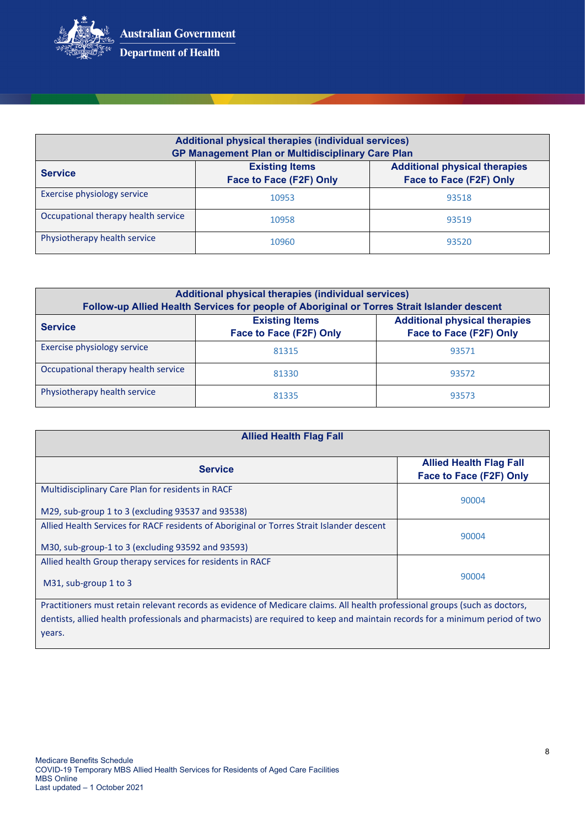

years.

| Additional physical therapies (individual services)<br><b>GP Management Plan or Multidisciplinary Care Plan</b> |                                                  |                                                                 |  |
|-----------------------------------------------------------------------------------------------------------------|--------------------------------------------------|-----------------------------------------------------------------|--|
| <b>Service</b>                                                                                                  | <b>Existing Items</b><br>Face to Face (F2F) Only | <b>Additional physical therapies</b><br>Face to Face (F2F) Only |  |
| Exercise physiology service                                                                                     | 10953                                            | 93518                                                           |  |
| Occupational therapy health service                                                                             | 10958                                            | 93519                                                           |  |
| Physiotherapy health service                                                                                    | 10960                                            | 93520                                                           |  |

| Additional physical therapies (individual services)<br>Follow-up Allied Health Services for people of Aboriginal or Torres Strait Islander descent |                                                  |                                                                 |  |
|----------------------------------------------------------------------------------------------------------------------------------------------------|--------------------------------------------------|-----------------------------------------------------------------|--|
| <b>Service</b>                                                                                                                                     | <b>Existing Items</b><br>Face to Face (F2F) Only | <b>Additional physical therapies</b><br>Face to Face (F2F) Only |  |
| Exercise physiology service                                                                                                                        | 81315                                            | 93571                                                           |  |
| Occupational therapy health service                                                                                                                | 81330                                            | 93572                                                           |  |
| Physiotherapy health service                                                                                                                       | 81335                                            | 93573                                                           |  |

| <b>Allied Health Flag Fall</b>                                                                                                                 |                                                           |  |  |
|------------------------------------------------------------------------------------------------------------------------------------------------|-----------------------------------------------------------|--|--|
| <b>Service</b>                                                                                                                                 | <b>Allied Health Flag Fall</b><br>Face to Face (F2F) Only |  |  |
| Multidisciplinary Care Plan for residents in RACF                                                                                              | 90004                                                     |  |  |
| M29, sub-group 1 to 3 (excluding 93537 and 93538)<br>Allied Health Services for RACF residents of Aboriginal or Torres Strait Islander descent |                                                           |  |  |
| M30, sub-group-1 to 3 (excluding 93592 and 93593)                                                                                              | 90004                                                     |  |  |
| Allied health Group therapy services for residents in RACF                                                                                     | 90004                                                     |  |  |
| M31, sub-group 1 to 3                                                                                                                          |                                                           |  |  |
| Practitioners must retain relevant records as evidence of Medicare claims. All health professional groups (such as doctors,                    |                                                           |  |  |
| dentists, allied health professionals and pharmacists) are required to keep and maintain records for a minimum period of two                   |                                                           |  |  |